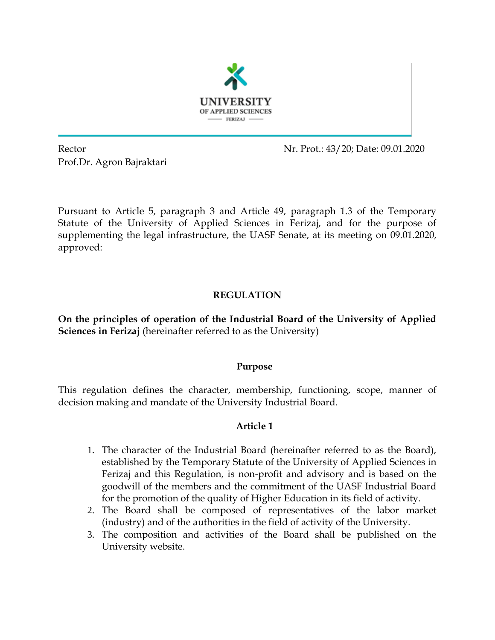

Prof.Dr. Agron Bajraktari

Rector Nr. Prot.: 43/20; Date: 09.01.2020

Pursuant to Article 5, paragraph 3 and Article 49, paragraph 1.3 of the Temporary Statute of the University of Applied Sciences in Ferizaj, and for the purpose of supplementing the legal infrastructure, the UASF Senate, at its meeting on 09.01.2020, approved:

# **REGULATION**

**On the principles of operation of the Industrial Board of the University of Applied Sciences in Ferizaj** (hereinafter referred to as the University)

### **Purpose**

This regulation defines the character, membership, functioning, scope, manner of decision making and mandate of the University Industrial Board.

### **Article 1**

- 1. The character of the Industrial Board (hereinafter referred to as the Board), established by the Temporary Statute of the University of Applied Sciences in Ferizaj and this Regulation, is non-profit and advisory and is based on the goodwill of the members and the commitment of the UASF Industrial Board for the promotion of the quality of Higher Education in its field of activity.
- 2. The Board shall be composed of representatives of the labor market (industry) and of the authorities in the field of activity of the University.
- 3. The composition and activities of the Board shall be published on the University website.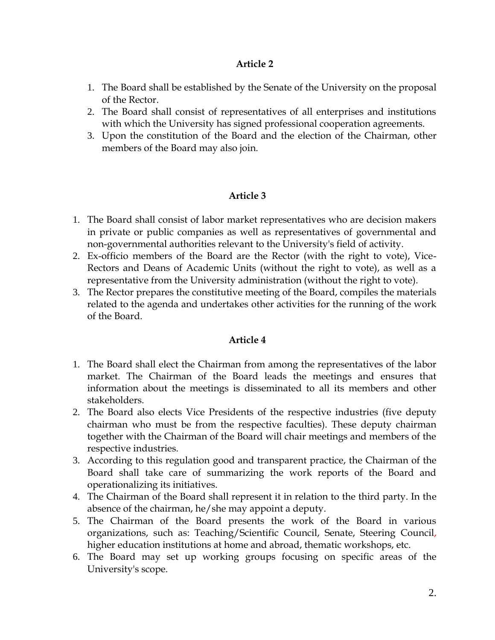### **Article 2**

- 1. The Board shall be established by the Senate of the University on the proposal of the Rector.
- 2. The Board shall consist of representatives of all enterprises and institutions with which the University has signed professional cooperation agreements.
- 3. Upon the constitution of the Board and the election of the Chairman, other members of the Board may also join.

# **Article 3**

- 1. The Board shall consist of labor market representatives who are decision makers in private or public companies as well as representatives of governmental and non-governmental authorities relevant to the University's field of activity.
- 2. Ex-officio members of the Board are the Rector (with the right to vote), Vice-Rectors and Deans of Academic Units (without the right to vote), as well as a representative from the University administration (without the right to vote).
- 3. The Rector prepares the constitutive meeting of the Board, compiles the materials related to the agenda and undertakes other activities for the running of the work of the Board.

### **Article 4**

- 1. The Board shall elect the Chairman from among the representatives of the labor market. The Chairman of the Board leads the meetings and ensures that information about the meetings is disseminated to all its members and other stakeholders.
- 2. The Board also elects Vice Presidents of the respective industries (five deputy chairman who must be from the respective faculties). These deputy chairman together with the Chairman of the Board will chair meetings and members of the respective industries.
- 3. According to this regulation good and transparent practice, the Chairman of the Board shall take care of summarizing the work reports of the Board and operationalizing its initiatives.
- 4. The Chairman of the Board shall represent it in relation to the third party. In the absence of the chairman, he/she may appoint a deputy.
- 5. The Chairman of the Board presents the work of the Board in various organizations, such as: Teaching/Scientific Council, Senate, Steering Council, higher education institutions at home and abroad, thematic workshops, etc.
- 6. The Board may set up working groups focusing on specific areas of the University's scope.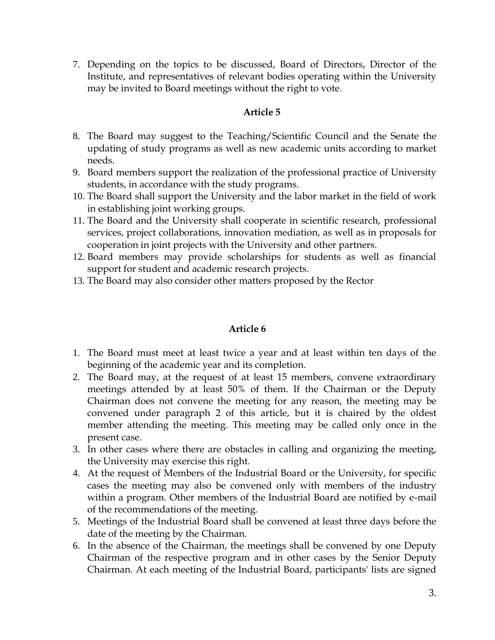7. Depending on the topics to be discussed, Board of Directors, Director of the Institute, and representatives of relevant bodies operating within the University may be invited to Board meetings without the right to vote.

### **Article 5**

- 8. The Board may suggest to the Teaching/Scientific Council and the Senate the updating of study programs as well as new academic units according to market needs.
- 9. Board members support the realization of the professional practice of University students, in accordance with the study programs.
- 10. The Board shall support the University and the labor market in the field of work in establishing joint working groups.
- 11. The Board and the University shall cooperate in scientific research, professional services, project collaborations, innovation mediation, as well as in proposals for cooperation in joint projects with the University and other partners.
- 12. Board members may provide scholarships for students as well as financial support for student and academic research projects.
- 13. The Board may also consider other matters proposed by the Rector

### **Article 6**

- 1. The Board must meet at least twice a year and at least within ten days of the beginning of the academic year and its completion.
- 2. The Board may, at the request of at least 15 members, convene extraordinary meetings attended by at least 50% of them. If the Chairman or the Deputy Chairman does not convene the meeting for any reason, the meeting may be convened under paragraph 2 of this article, but it is chaired by the oldest member attending the meeting. This meeting may be called only once in the present case.
- 3. In other cases where there are obstacles in calling and organizing the meeting, the University may exercise this right.
- 4. At the request of Members of the Industrial Board or the University, for specific cases the meeting may also be convened only with members of the industry within a program. Other members of the Industrial Board are notified by e-mail of the recommendations of the meeting.
- 5. Meetings of the Industrial Board shall be convened at least three days before the date of the meeting by the Chairman.
- 6. In the absence of the Chairman, the meetings shall be convened by one Deputy Chairman of the respective program and in other cases by the Senior Deputy Chairman. At each meeting of the Industrial Board, participants' lists are signed